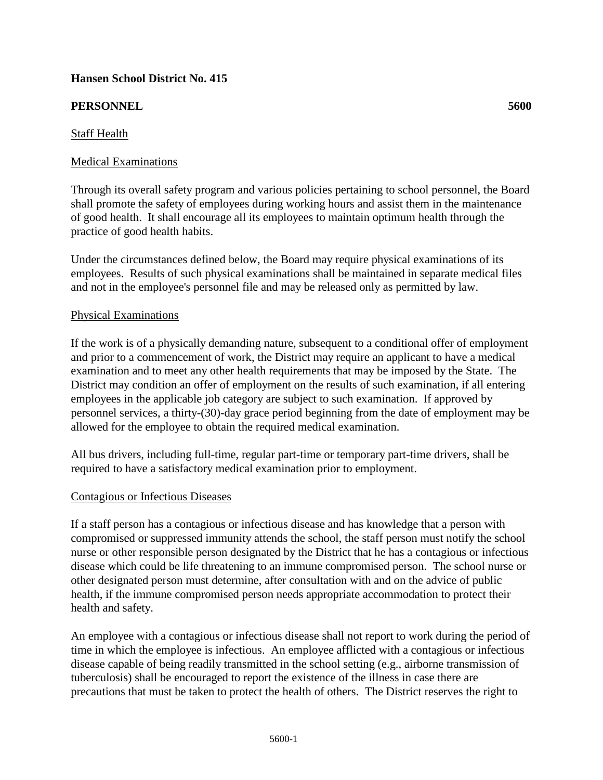# **Hansen School District No. 415**

# **PERSONNEL 5600**

# Staff Health

## Medical Examinations

Through its overall safety program and various policies pertaining to school personnel, the Board shall promote the safety of employees during working hours and assist them in the maintenance of good health. It shall encourage all its employees to maintain optimum health through the practice of good health habits.

Under the circumstances defined below, the Board may require physical examinations of its employees. Results of such physical examinations shall be maintained in separate medical files and not in the employee's personnel file and may be released only as permitted by law.

### Physical Examinations

If the work is of a physically demanding nature, subsequent to a conditional offer of employment and prior to a commencement of work, the District may require an applicant to have a medical examination and to meet any other health requirements that may be imposed by the State. The District may condition an offer of employment on the results of such examination, if all entering employees in the applicable job category are subject to such examination. If approved by personnel services, a thirty-(30)-day grace period beginning from the date of employment may be allowed for the employee to obtain the required medical examination.

All bus drivers, including full-time, regular part-time or temporary part-time drivers, shall be required to have a satisfactory medical examination prior to employment.

#### Contagious or Infectious Diseases

If a staff person has a contagious or infectious disease and has knowledge that a person with compromised or suppressed immunity attends the school, the staff person must notify the school nurse or other responsible person designated by the District that he has a contagious or infectious disease which could be life threatening to an immune compromised person. The school nurse or other designated person must determine, after consultation with and on the advice of public health, if the immune compromised person needs appropriate accommodation to protect their health and safety.

An employee with a contagious or infectious disease shall not report to work during the period of time in which the employee is infectious. An employee afflicted with a contagious or infectious disease capable of being readily transmitted in the school setting (e.g., airborne transmission of tuberculosis) shall be encouraged to report the existence of the illness in case there are precautions that must be taken to protect the health of others. The District reserves the right to